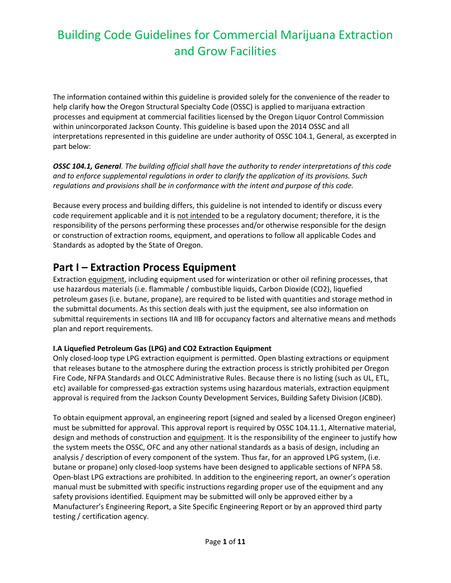The information contained within this guideline is provided solely for the convenience of the reader to help clarify how the Oregon Structural Specialty Code (OSSC) is applied to marijuana extraction processes and equipment at commercial facilities licensed by the Oregon Liquor Control Commission within unincorporated Jackson County. This guideline is based upon the 2014 OSSC and all interpretations represented in this guideline are under authority of OSSC 104.1, General, as excerpted in part below:

*OSSC 104.1, General. The building official shall have the authority to render interpretations of this code and to enforce supplemental regulations in order to clarify the application of its provisions. Such regulations and provisions shall be in conformance with the intent and purpose of this code.*

Because every process and building differs, this guideline is not intended to identify or discuss every code requirement applicable and it is not intended to be a regulatory document; therefore, it is the responsibility of the persons performing these processes and/or otherwise responsible for the design or construction of extraction rooms, equipment, and operations to follow all applicable Codes and Standards as adopted by the State of Oregon.

## **Part I – Extraction Process Equipment**

Extraction equipment, including equipment used for winterization or other oil refining processes, that use hazardous materials (i.e. flammable / combustible liquids, Carbon Dioxide (CO2), liquefied petroleum gases (i.e. butane, propane), are required to be listed with quantities and storage method in the submittal documents. As this section deals with just the equipment, see also information on submittal requirements in sections IIA and IIB for occupancy factors and alternative means and methods plan and report requirements.

### **I.A Liquefied Petroleum Gas (LPG) and CO2 Extraction Equipment**

Only closed-loop type LPG extraction equipment is permitted. Open blasting extractions or equipment that releases butane to the atmosphere during the extraction process is strictly prohibited per Oregon Fire Code, NFPA Standards and OLCC Administrative Rules. Because there is no listing (such as UL, ETL, etc) available for compressed-gas extraction systems using hazardous materials, extraction equipment approval is required from the Jackson County Development Services, Building Safety Division (JCBD).

To obtain equipment approval, an engineering report (signed and sealed by a licensed Oregon engineer) must be submitted for approval. This approval report is required by OSSC 104.11.1, Alternative material, design and methods of construction and equipment. It is the responsibility of the engineer to justify how the system meets the OSSC, OFC and any other national standards as a basis of design, including an analysis / description of every component of the system. Thus far, for an approved LPG system, (i.e. butane or propane) only closed-loop systems have been designed to applicable sections of NFPA 58. Open-blast LPG extractions are prohibited. In addition to the engineering report, an owner's operation manual must be submitted with specific instructions regarding proper use of the equipment and any safety provisions identified. Equipment may be submitted will only be approved either by a Manufacturer's Engineering Report, a Site Specific Engineering Report or by an approved third party testing / certification agency.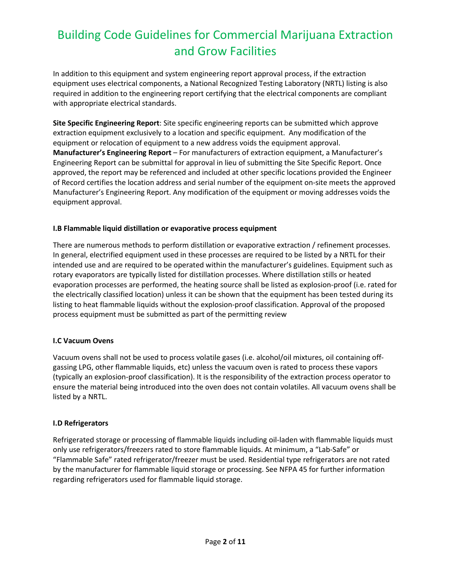In addition to this equipment and system engineering report approval process, if the extraction equipment uses electrical components, a National Recognized Testing Laboratory (NRTL) listing is also required in addition to the engineering report certifying that the electrical components are compliant with appropriate electrical standards.

**Site Specific Engineering Report**: Site specific engineering reports can be submitted which approve extraction equipment exclusively to a location and specific equipment. Any modification of the equipment or relocation of equipment to a new address voids the equipment approval. **Manufacturer's Engineering Report** – For manufacturers of extraction equipment, a Manufacturer's Engineering Report can be submittal for approval in lieu of submitting the Site Specific Report. Once approved, the report may be referenced and included at other specific locations provided the Engineer of Record certifies the location address and serial number of the equipment on-site meets the approved Manufacturer's Engineering Report. Any modification of the equipment or moving addresses voids the equipment approval.

#### **I.B Flammable liquid distillation or evaporative process equipment**

There are numerous methods to perform distillation or evaporative extraction / refinement processes. In general, electrified equipment used in these processes are required to be listed by a NRTL for their intended use and are required to be operated within the manufacturer's guidelines. Equipment such as rotary evaporators are typically listed for distillation processes. Where distillation stills or heated evaporation processes are performed, the heating source shall be listed as explosion-proof (i.e. rated for the electrically classified location) unless it can be shown that the equipment has been tested during its listing to heat flammable liquids without the explosion-proof classification. Approval of the proposed process equipment must be submitted as part of the permitting review

#### **I.C Vacuum Ovens**

Vacuum ovens shall not be used to process volatile gases (i.e. alcohol/oil mixtures, oil containing offgassing LPG, other flammable liquids, etc) unless the vacuum oven is rated to process these vapors (typically an explosion-proof classification). It is the responsibility of the extraction process operator to ensure the material being introduced into the oven does not contain volatiles. All vacuum ovens shall be listed by a NRTL.

#### **I.D Refrigerators**

Refrigerated storage or processing of flammable liquids including oil-laden with flammable liquids must only use refrigerators/freezers rated to store flammable liquids. At minimum, a "Lab-Safe" or "Flammable Safe" rated refrigerator/freezer must be used. Residential type refrigerators are not rated by the manufacturer for flammable liquid storage or processing. See NFPA 45 for further information regarding refrigerators used for flammable liquid storage.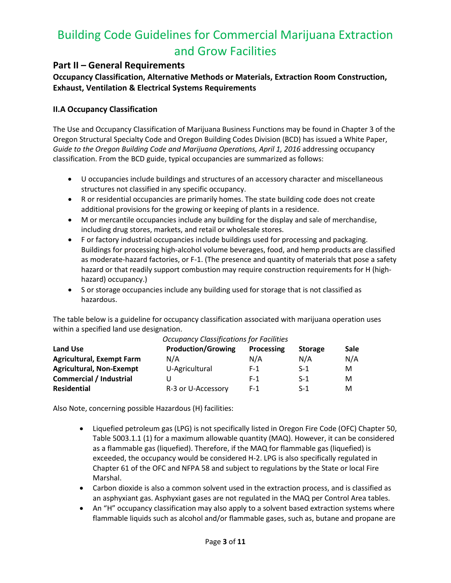## **Part II – General Requirements**

**Occupancy Classification, Alternative Methods or Materials, Extraction Room Construction, Exhaust, Ventilation & Electrical Systems Requirements**

### **II.A Occupancy Classification**

The Use and Occupancy Classification of Marijuana Business Functions may be found in Chapter 3 of the Oregon Structural Specialty Code and Oregon Building Codes Division (BCD) has issued a White Paper, *Guide to the Oregon Building Code and Marijuana Operations, April 1, 2016* addressing occupancy classification. From the BCD guide, typical occupancies are summarized as follows:

- U occupancies include buildings and structures of an accessory character and miscellaneous structures not classified in any specific occupancy.
- R or residential occupancies are primarily homes. The state building code does not create additional provisions for the growing or keeping of plants in a residence.
- M or mercantile occupancies include any building for the display and sale of merchandise, including drug stores, markets, and retail or wholesale stores.
- F or factory industrial occupancies include buildings used for processing and packaging. Buildings for processing high-alcohol volume beverages, food, and hemp products are classified as moderate-hazard factories, or F-1. (The presence and quantity of materials that pose a safety hazard or that readily support combustion may require construction requirements for H (highhazard) occupancy.)
- S or storage occupancies include any building used for storage that is not classified as hazardous.

The table below is a guideline for occupancy classification associated with marijuana operation uses within a specified land use designation.

|                                  | <u>Uccapancy Classifications</u> for Facilities |            |                |             |
|----------------------------------|-------------------------------------------------|------------|----------------|-------------|
| <b>Land Use</b>                  | <b>Production/Growing</b>                       | Processing | <b>Storage</b> | <b>Sale</b> |
| <b>Agricultural, Exempt Farm</b> | N/A                                             | N/A        | N/A            | N/A         |
| <b>Agricultural, Non-Exempt</b>  | U-Agricultural                                  | $F-1$      | $S-1$          | м           |
| <b>Commercial / Industrial</b>   |                                                 | $F-1$      | $S-1$          | м           |
| Residential                      | R-3 or U-Accessory                              | $F-1$      | $S-1$          | м           |

### *Occupancy Classifications for Facilities*

Also Note, concerning possible Hazardous (H) facilities:

- Liquefied petroleum gas (LPG) is not specifically listed in Oregon Fire Code (OFC) Chapter 50, Table 5003.1.1 (1) for a maximum allowable quantity (MAQ). However, it can be considered as a flammable gas (liquefied). Therefore, if the MAQ for flammable gas (liquefied) is exceeded, the occupancy would be considered H-2. LPG is also specifically regulated in Chapter 61 of the OFC and NFPA 58 and subject to regulations by the State or local Fire Marshal.
- Carbon dioxide is also a common solvent used in the extraction process, and is classified as an asphyxiant gas. Asphyxiant gases are not regulated in the MAQ per Control Area tables.
- An "H" occupancy classification may also apply to a solvent based extraction systems where flammable liquids such as alcohol and/or flammable gases, such as, butane and propane are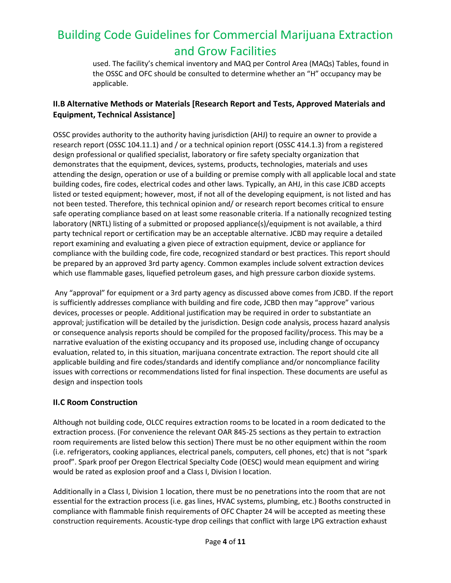used. The facility's chemical inventory and MAQ per Control Area (MAQs) Tables, found in the OSSC and OFC should be consulted to determine whether an "H" occupancy may be applicable.

## **II.B Alternative Methods or Materials [Research Report and Tests, Approved Materials and Equipment, Technical Assistance]**

OSSC provides authority to the authority having jurisdiction (AHJ) to require an owner to provide a research report (OSSC 104.11.1) and / or a technical opinion report (OSSC 414.1.3) from a registered design professional or qualified specialist, laboratory or fire safety specialty organization that demonstrates that the equipment, devices, systems, products, technologies, materials and uses attending the design, operation or use of a building or premise comply with all applicable local and state building codes, fire codes, electrical codes and other laws. Typically, an AHJ, in this case JCBD accepts listed or tested equipment; however, most, if not all of the developing equipment, is not listed and has not been tested. Therefore, this technical opinion and/ or research report becomes critical to ensure safe operating compliance based on at least some reasonable criteria. If a nationally recognized testing laboratory (NRTL) listing of a submitted or proposed appliance(s)/equipment is not available, a third party technical report or certification may be an acceptable alternative. JCBD may require a detailed report examining and evaluating a given piece of extraction equipment, device or appliance for compliance with the building code, fire code, recognized standard or best practices. This report should be prepared by an approved 3rd party agency. Common examples include solvent extraction devices which use flammable gases, liquefied petroleum gases, and high pressure carbon dioxide systems.

Any "approval" for equipment or a 3rd party agency as discussed above comes from JCBD. If the report is sufficiently addresses compliance with building and fire code, JCBD then may "approve" various devices, processes or people. Additional justification may be required in order to substantiate an approval; justification will be detailed by the jurisdiction. Design code analysis, process hazard analysis or consequence analysis reports should be compiled for the proposed facility/process. This may be a narrative evaluation of the existing occupancy and its proposed use, including change of occupancy evaluation, related to, in this situation, marijuana concentrate extraction. The report should cite all applicable building and fire codes/standards and identify compliance and/or noncompliance facility issues with corrections or recommendations listed for final inspection. These documents are useful as design and inspection tools

### **II.C Room Construction**

Although not building code, OLCC requires extraction rooms to be located in a room dedicated to the extraction process. (For convenience the relevant OAR 845-25 sections as they pertain to extraction room requirements are listed below this section) There must be no other equipment within the room (i.e. refrigerators, cooking appliances, electrical panels, computers, cell phones, etc) that is not "spark proof". Spark proof per Oregon Electrical Specialty Code (OESC) would mean equipment and wiring would be rated as explosion proof and a Class I, Division I location.

Additionally in a Class I, Division 1 location, there must be no penetrations into the room that are not essential for the extraction process (i.e. gas lines, HVAC systems, plumbing, etc.) Booths constructed in compliance with flammable finish requirements of OFC Chapter 24 will be accepted as meeting these construction requirements. Acoustic-type drop ceilings that conflict with large LPG extraction exhaust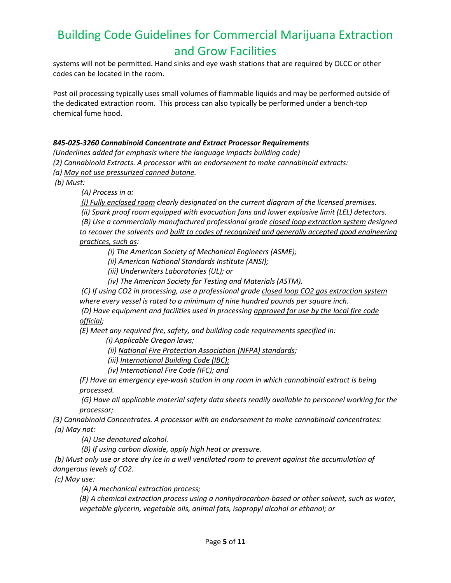systems will not be permitted. Hand sinks and eye wash stations that are required by OLCC or other codes can be located in the room.

Post oil processing typically uses small volumes of flammable liquids and may be performed outside of the dedicated extraction room. This process can also typically be performed under a bench-top chemical fume hood.

#### *845-025-3260 Cannabinoid Concentrate and Extract Processor Requirements*

*(Underlines added for emphasis where the language impacts building code)*

*(2) Cannabinoid Extracts. A processor with an endorsement to make cannabinoid extracts:*

*(a) May not use pressurized canned butane.*

*(b) Must:*

*(A) Process in a:*

*(i) Fully enclosed room clearly designated on the current diagram of the licensed premises.*

*(ii) Spark proof room equipped with evacuation fans and lower explosive limit (LEL) detectors.*

*(B) Use a commercially manufactured professional grade closed loop extraction system designed*  to recover the solvents and built to codes of recognized and generally accepted good engineering *practices, such as:* 

*(i) The American Society of Mechanical Engineers (ASME);*

*(ii) American National Standards Institute (ANSI);* 

*(iii) Underwriters Laboratories (UL); or*

*(iv) The American Society for Testing and Materials (ASTM).*

*(C) If using CO2 in processing, use a professional grade closed loop CO2 gas extraction system where every vessel is rated to a minimum of nine hundred pounds per square inch. (D) Have equipment and facilities used in processing approved for use by the local fire code* 

*official;* 

*(E) Meet any required fire, safety, and building code requirements specified in:* 

*(i) Applicable Oregon laws;*

*(ii) National Fire Protection Association (NFPA) standards;*

*(iii) International Building Code (IBC);*

*(iv) International Fire Code (IFC); and* 

*(F) Have an emergency eye-wash station in any room in which cannabinoid extract is being processed.*

*(G) Have all applicable material safety data sheets readily available to personnel working for the processor;* 

*(3) Cannabinoid Concentrates. A processor with an endorsement to make cannabinoid concentrates: (a) May not:*

*(A) Use denatured alcohol.*

*(B) If using carbon dioxide, apply high heat or pressure.*

*(b) Must only use or store dry ice in a well ventilated room to prevent against the accumulation of dangerous levels of CO2.*

*(c) May use:*

*(A) A mechanical extraction process;* 

*(B) A chemical extraction process using a nonhydrocarbon-based or other solvent, such as water, vegetable glycerin, vegetable oils, animal fats, isopropyl alcohol or ethanol; or*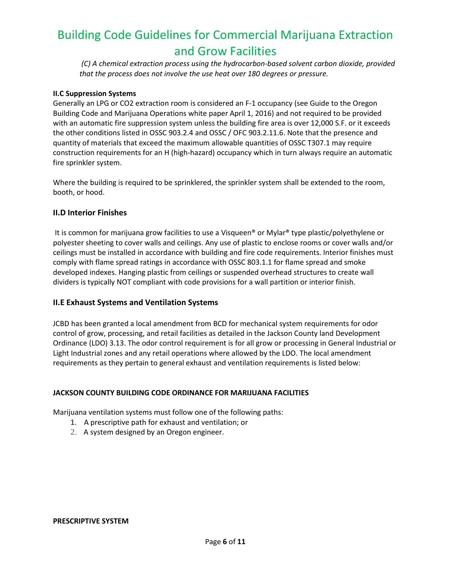*(C) A chemical extraction process using the hydrocarbon-based solvent carbon dioxide, provided that the process does not involve the use heat over 180 degrees or pressure.* 

#### **II.C Suppression Systems**

Generally an LPG or CO2 extraction room is considered an F-1 occupancy (see Guide to the Oregon Building Code and Marijuana Operations white paper April 1, 2016) and not required to be provided with an automatic fire suppression system unless the building fire area is over 12,000 S.F. or it exceeds the other conditions listed in OSSC 903.2.4 and OSSC / OFC 903.2.11.6. Note that the presence and quantity of materials that exceed the maximum allowable quantities of OSSC T307.1 may require construction requirements for an H (high-hazard) occupancy which in turn always require an automatic fire sprinkler system.

Where the building is required to be sprinklered, the sprinkler system shall be extended to the room, booth, or hood.

#### **II.D Interior Finishes**

It is common for marijuana grow facilities to use a Visqueen<sup>®</sup> or Mylar<sup>®</sup> type plastic/polyethylene or polyester sheeting to cover walls and ceilings. Any use of plastic to enclose rooms or cover walls and/or ceilings must be installed in accordance with building and fire code requirements. Interior finishes must comply with flame spread ratings in accordance with OSSC 803.1.1 for flame spread and smoke developed indexes. Hanging plastic from ceilings or suspended overhead structures to create wall dividers is typically NOT compliant with code provisions for a wall partition or interior finish.

#### **II.E Exhaust Systems and Ventilation Systems**

JCBD has been granted a local amendment from BCD for mechanical system requirements for odor control of grow, processing, and retail facilities as detailed in the Jackson County land Development Ordinance (LDO) 3.13. The odor control requirement is for all grow or processing in General Industrial or Light Industrial zones and any retail operations where allowed by the LDO. The local amendment requirements as they pertain to general exhaust and ventilation requirements is listed below:

#### **JACKSON COUNTY BUILDING CODE ORDINANCE FOR MARIJUANA FACILITIES**

Marijuana ventilation systems must follow one of the following paths:

- 1.A prescriptive path for exhaust and ventilation; or
- 2. A system designed by an Oregon engineer.

#### **PRESCRIPTIVE SYSTEM**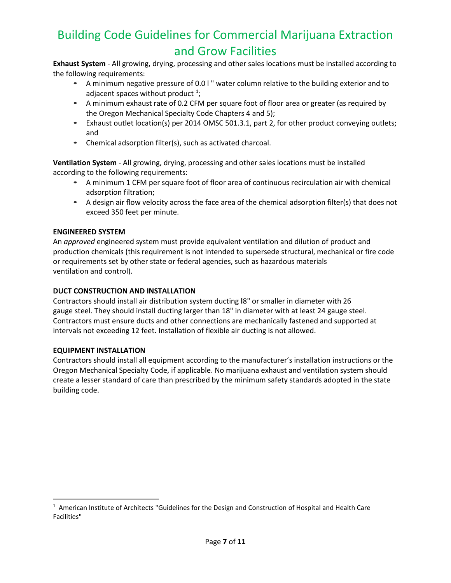**Exhaust System** - All growing, drying, processing and other sales locations must be installed according to the following requirements:

- A minimum negative pressure of 0.0 l " water column relative to the building exterior and to adjacent spaces without product  $1$ ;
- A minimum exhaust rate of 0.2 CFM per square foot of floor area or greater (as required by the Oregon Mechanical Specialty Code Chapters 4 and 5);
- Exhaust outlet location(s) per 2014 OMSC 501.3.1, part 2, for other product conveying outlets; and
- Chemical adsorption filter(s), such as activated charcoal.

**Ventilation System** - All growing, drying, processing and other sales locations must be installed according to the following requirements:

- A minimum 1 CFM per square foot of floor area of continuous recirculation air with chemical adsorption filtration;
- A design air flow velocity across the face area of the chemical adsorption filter(s) that does not exceed 350 feet per minute.

#### **ENGINEERED SYSTEM**

An *approved* engineered system must provide equivalent ventilation and dilution of product and production chemicals (this requirement is not intended to supersede structural, mechanical or fire code or requirements set by other state or federal agencies, such as hazardous materials ventilation and control).

#### **DUCT CONSTRUCTION AND INSTALLATION**

Contractors should install air distribution system ducting **l**8" or smaller in diameter with 26 gauge steel. They should install ducting larger than 18" in diameter with at least 24 gauge steel. Contractors must ensure ducts and other connections are mechanically fastened and supported at intervals not exceeding 12 feet. Installation of flexible air ducting is not allowed.

#### **EQUIPMENT INSTALLATION**

Contractors should install all equipment according to the manufacturer's installation instructions or the Oregon Mechanical Specialty Code, if applicable. No marijuana exhaust and ventilation system should create a lesser standard of care than prescribed by the minimum safety standards adopted in the state building code.

<span id="page-6-0"></span> $1$  American Institute of Architects "Guidelines for the Design and Construction of Hospital and Health Care Facilities"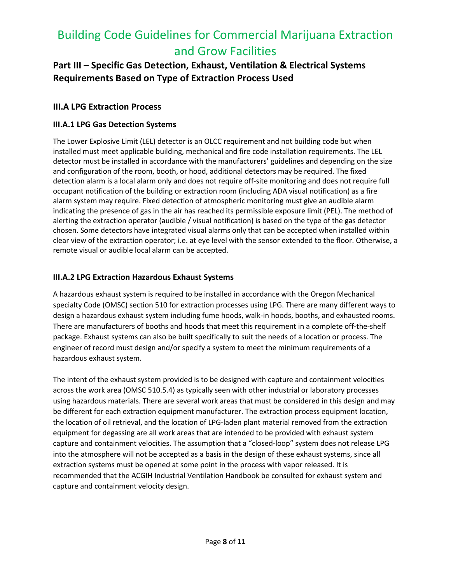## **Part III – Specific Gas Detection, Exhaust, Ventilation & Electrical Systems Requirements Based on Type of Extraction Process Used**

## **III.A LPG Extraction Process**

### **III.A.1 LPG Gas Detection Systems**

The Lower Explosive Limit (LEL) detector is an OLCC requirement and not building code but when installed must meet applicable building, mechanical and fire code installation requirements. The LEL detector must be installed in accordance with the manufacturers' guidelines and depending on the size and configuration of the room, booth, or hood, additional detectors may be required. The fixed detection alarm is a local alarm only and does not require off-site monitoring and does not require full occupant notification of the building or extraction room (including ADA visual notification) as a fire alarm system may require. Fixed detection of atmospheric monitoring must give an audible alarm indicating the presence of gas in the air has reached its permissible exposure limit (PEL). The method of alerting the extraction operator (audible / visual notification) is based on the type of the gas detector chosen. Some detectors have integrated visual alarms only that can be accepted when installed within clear view of the extraction operator; i.e. at eye level with the sensor extended to the floor. Otherwise, a remote visual or audible local alarm can be accepted.

### **III.A.2 LPG Extraction Hazardous Exhaust Systems**

A hazardous exhaust system is required to be installed in accordance with the Oregon Mechanical specialty Code (OMSC) section 510 for extraction processes using LPG. There are many different ways to design a hazardous exhaust system including fume hoods, walk-in hoods, booths, and exhausted rooms. There are manufacturers of booths and hoods that meet this requirement in a complete off-the-shelf package. Exhaust systems can also be built specifically to suit the needs of a location or process. The engineer of record must design and/or specify a system to meet the minimum requirements of a hazardous exhaust system.

The intent of the exhaust system provided is to be designed with capture and containment velocities across the work area (OMSC 510.5.4) as typically seen with other industrial or laboratory processes using hazardous materials. There are several work areas that must be considered in this design and may be different for each extraction equipment manufacturer. The extraction process equipment location, the location of oil retrieval, and the location of LPG-laden plant material removed from the extraction equipment for degassing are all work areas that are intended to be provided with exhaust system capture and containment velocities. The assumption that a "closed-loop" system does not release LPG into the atmosphere will not be accepted as a basis in the design of these exhaust systems, since all extraction systems must be opened at some point in the process with vapor released. It is recommended that the ACGIH Industrial Ventilation Handbook be consulted for exhaust system and capture and containment velocity design.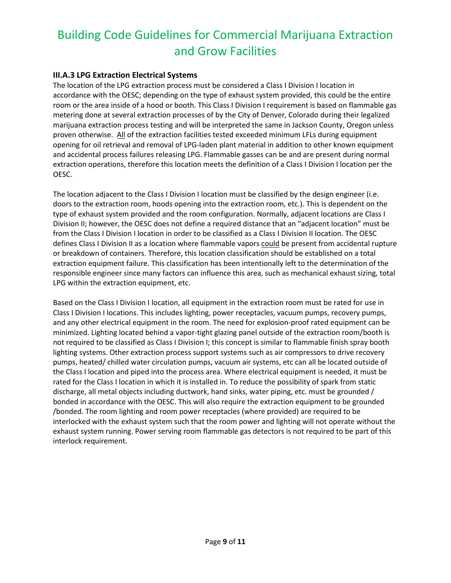### **III.A.3 LPG Extraction Electrical Systems**

The location of the LPG extraction process must be considered a Class I Division I location in accordance with the OESC; depending on the type of exhaust system provided, this could be the entire room or the area inside of a hood or booth. This Class I Division I requirement is based on flammable gas metering done at several extraction processes of by the City of Denver, Colorado during their legalized marijuana extraction process testing and will be interpreted the same in Jackson County, Oregon unless proven otherwise. All of the extraction facilities tested exceeded minimum LFLs during equipment opening for oil retrieval and removal of LPG-laden plant material in addition to other known equipment and accidental process failures releasing LPG. Flammable gasses can be and are present during normal extraction operations, therefore this location meets the definition of a Class I Division I location per the OESC.

The location adjacent to the Class I Division I location must be classified by the design engineer (i.e. doors to the extraction room, hoods opening into the extraction room, etc.). This is dependent on the type of exhaust system provided and the room configuration. Normally, adjacent locations are Class I Division II; however, the OESC does not define a required distance that an "adjacent location" must be from the Class I Division I location in order to be classified as a Class I Division II location. The OESC defines Class I Division II as a location where flammable vapors could be present from accidental rupture or breakdown of containers. Therefore, this location classification should be established on a total extraction equipment failure. This classification has been intentionally left to the determination of the responsible engineer since many factors can influence this area, such as mechanical exhaust sizing, total LPG within the extraction equipment, etc.

Based on the Class I Division I location, all equipment in the extraction room must be rated for use in Class I Division I locations. This includes lighting, power receptacles, vacuum pumps, recovery pumps, and any other electrical equipment in the room. The need for explosion-proof rated equipment can be minimized. Lighting located behind a vapor-tight glazing panel outside of the extraction room/booth is not required to be classified as Class I Division I; this concept is similar to flammable finish spray booth lighting systems. Other extraction process support systems such as air compressors to drive recovery pumps, heated/ chilled water circulation pumps, vacuum air systems, etc can all be located outside of the Class I location and piped into the process area. Where electrical equipment is needed, it must be rated for the Class I location in which it is installed in. To reduce the possibility of spark from static discharge, all metal objects including ductwork, hand sinks, water piping, etc. must be grounded / bonded in accordance with the OESC. This will also require the extraction equipment to be grounded /bonded. The room lighting and room power receptacles (where provided) are required to be interlocked with the exhaust system such that the room power and lighting will not operate without the exhaust system running. Power serving room flammable gas detectors is not required to be part of this interlock requirement.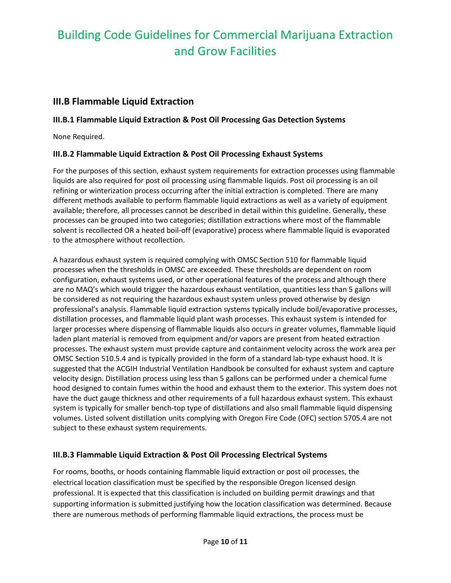## **III.B Flammable Liquid Extraction**

## **III.B.1 Flammable Liquid Extraction & Post Oil Processing Gas Detection Systems**

None Required.

### **III.B.2 Flammable Liquid Extraction & Post Oil Processing Exhaust Systems**

For the purposes of this section, exhaust system requirements for extraction processes using flammable liquids are also required for post oil processing using flammable liquids. Post oil processing is an oil refining or winterization process occurring after the initial extraction is completed. There are many different methods available to perform flammable liquid extractions as well as a variety of equipment available; therefore, all processes cannot be described in detail within this guideline. Generally, these processes can be grouped into two categories; distillation extractions where most of the flammable solvent is recollected OR a heated boil-off (evaporative) process where flammable liquid is evaporated to the atmosphere without recollection.

A hazardous exhaust system is required complying with OMSC Section 510 for flammable liquid processes when the thresholds in OMSC are exceeded. These thresholds are dependent on room configuration, exhaust systems used, or other operational features of the process and although there are no MAQ's which would trigger the hazardous exhaust ventilation, quantities less than 5 gallons will be considered as not requiring the hazardous exhaust system unless proved otherwise by design professional's analysis. Flammable liquid extraction systems typically include boil/evaporative processes, distillation processes, and flammable liquid plant wash processes. This exhaust system is intended for larger processes where dispensing of flammable liquids also occurs in greater volumes, flammable liquid laden plant material is removed from equipment and/or vapors are present from heated extraction processes. The exhaust system must provide capture and containment velocity across the work area per OMSC Section 510.5.4 and is typically provided in the form of a standard lab-type exhaust hood. It is suggested that the ACGIH Industrial Ventilation Handbook be consulted for exhaust system and capture velocity design. Distillation process using less than 5 gallons can be performed under a chemical fume hood designed to contain fumes within the hood and exhaust them to the exterior. This system does not have the duct gauge thickness and other requirements of a full hazardous exhaust system. This exhaust system is typically for smaller bench-top type of distillations and also small flammable liquid dispensing volumes. Listed solvent distillation units complying with Oregon Fire Code (OFC) section 5705.4 are not subject to these exhaust system requirements.

### **III.B.3 Flammable Liquid Extraction & Post Oil Processing Electrical Systems**

For rooms, booths, or hoods containing flammable liquid extraction or post oil processes, the electrical location classification must be specified by the responsible Oregon licensed design professional. It is expected that this classification is included on building permit drawings and that supporting information is submitted justifying how the location classification was determined. Because there are numerous methods of performing flammable liquid extractions, the process must be